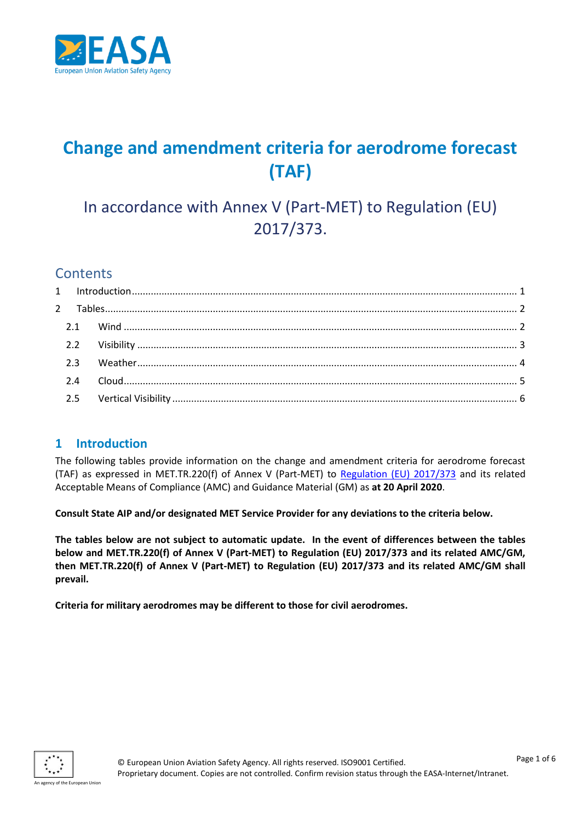

# **Change and amendment criteria for aerodrome forecast (TAF)**

In accordance with Annex V (Part-MET) to Regulation (EU) 2017/373.

# **Contents**

## <span id="page-0-0"></span>**1 Introduction**

The following tables provide information on the change and amendment criteria for aerodrome forecast (TAF) as expressed in MET.TR.220(f) of Annex V (Part-MET) to [Regulation \(EU\) 2017/373](https://www.easa.europa.eu/regulations#regulations-atmans-provision-of-services----air-traffic-managementair-navigation-services) and its related Acceptable Means of Compliance (AMC) and Guidance Material (GM) as **at 20 April 2020**.

**Consult State AIP and/or designated MET Service Provider for any deviations to the criteria below.**

**The tables below are not subject to automatic update. In the event of differences between the tables below and MET.TR.220(f) of Annex V (Part-MET) to Regulation (EU) 2017/373 and its related AMC/GM, then MET.TR.220(f) of Annex V (Part-MET) to Regulation (EU) 2017/373 and its related AMC/GM shall prevail.**

**Criteria for military aerodromes may be different to those for civil aerodromes.**

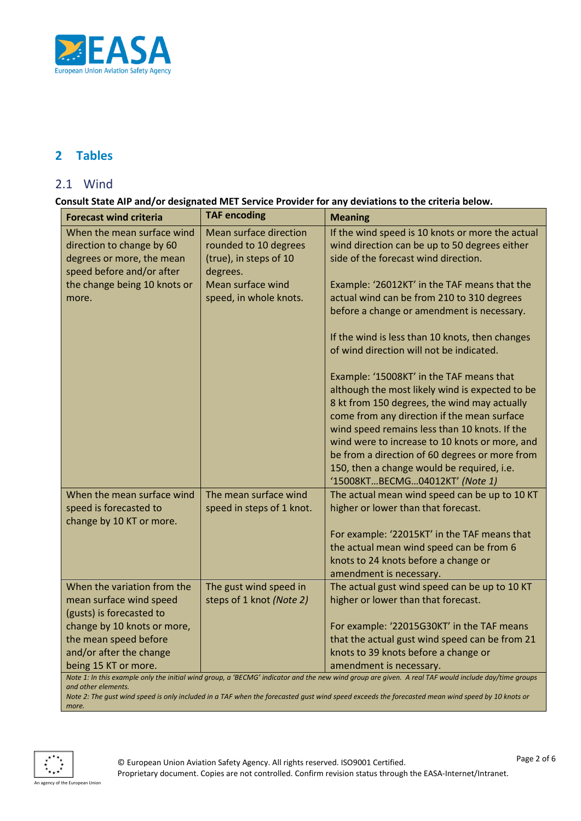

# <span id="page-1-0"></span>**2 Tables**

#### <span id="page-1-1"></span>2.1 Wind

**Consult State AIP and/or designated MET Service Provider for any deviations to the criteria below.**

| <b>Forecast wind criteria</b>                                                                                                                                              | <b>TAF encoding</b>                             | <b>Meaning</b>                                                                                    |
|----------------------------------------------------------------------------------------------------------------------------------------------------------------------------|-------------------------------------------------|---------------------------------------------------------------------------------------------------|
| When the mean surface wind<br>direction to change by 60                                                                                                                    | Mean surface direction<br>rounded to 10 degrees | If the wind speed is 10 knots or more the actual<br>wind direction can be up to 50 degrees either |
| degrees or more, the mean                                                                                                                                                  | (true), in steps of 10                          | side of the forecast wind direction.                                                              |
| speed before and/or after                                                                                                                                                  | degrees.                                        |                                                                                                   |
| the change being 10 knots or                                                                                                                                               | Mean surface wind                               | Example: '26012KT' in the TAF means that the                                                      |
| more.                                                                                                                                                                      | speed, in whole knots.                          | actual wind can be from 210 to 310 degrees                                                        |
|                                                                                                                                                                            |                                                 | before a change or amendment is necessary.                                                        |
|                                                                                                                                                                            |                                                 | If the wind is less than 10 knots, then changes                                                   |
|                                                                                                                                                                            |                                                 | of wind direction will not be indicated.                                                          |
|                                                                                                                                                                            |                                                 | Example: '15008KT' in the TAF means that                                                          |
|                                                                                                                                                                            |                                                 | although the most likely wind is expected to be                                                   |
|                                                                                                                                                                            |                                                 | 8 kt from 150 degrees, the wind may actually                                                      |
|                                                                                                                                                                            |                                                 | come from any direction if the mean surface                                                       |
|                                                                                                                                                                            |                                                 | wind speed remains less than 10 knots. If the<br>wind were to increase to 10 knots or more, and   |
|                                                                                                                                                                            |                                                 | be from a direction of 60 degrees or more from                                                    |
|                                                                                                                                                                            |                                                 | 150, then a change would be required, i.e.                                                        |
|                                                                                                                                                                            |                                                 | '15008KTBECMG04012KT' (Note 1)                                                                    |
| When the mean surface wind                                                                                                                                                 | The mean surface wind                           | The actual mean wind speed can be up to 10 KT                                                     |
| speed is forecasted to                                                                                                                                                     | speed in steps of 1 knot.                       | higher or lower than that forecast.                                                               |
| change by 10 KT or more.                                                                                                                                                   |                                                 |                                                                                                   |
|                                                                                                                                                                            |                                                 | For example: '22015KT' in the TAF means that                                                      |
|                                                                                                                                                                            |                                                 | the actual mean wind speed can be from 6                                                          |
|                                                                                                                                                                            |                                                 | knots to 24 knots before a change or<br>amendment is necessary.                                   |
| When the variation from the                                                                                                                                                | The gust wind speed in                          | The actual gust wind speed can be up to 10 KT                                                     |
| mean surface wind speed                                                                                                                                                    | steps of 1 knot (Note 2)                        | higher or lower than that forecast.                                                               |
| (gusts) is forecasted to                                                                                                                                                   |                                                 |                                                                                                   |
| change by 10 knots or more,                                                                                                                                                |                                                 | For example: '22015G30KT' in the TAF means                                                        |
| the mean speed before                                                                                                                                                      |                                                 | that the actual gust wind speed can be from 21                                                    |
| and/or after the change                                                                                                                                                    |                                                 | knots to 39 knots before a change or                                                              |
| being 15 KT or more.                                                                                                                                                       |                                                 | amendment is necessary.                                                                           |
| Note 1: In this example only the initial wind group, a 'BECMG' indicator and the new wind group are given. A real TAF would include day/time groups<br>and other elements. |                                                 |                                                                                                   |

*Note 2: The gust wind speed is only included in a TAF when the forecasted gust wind speed exceeds the forecasted mean wind speed by 10 knots or more.*

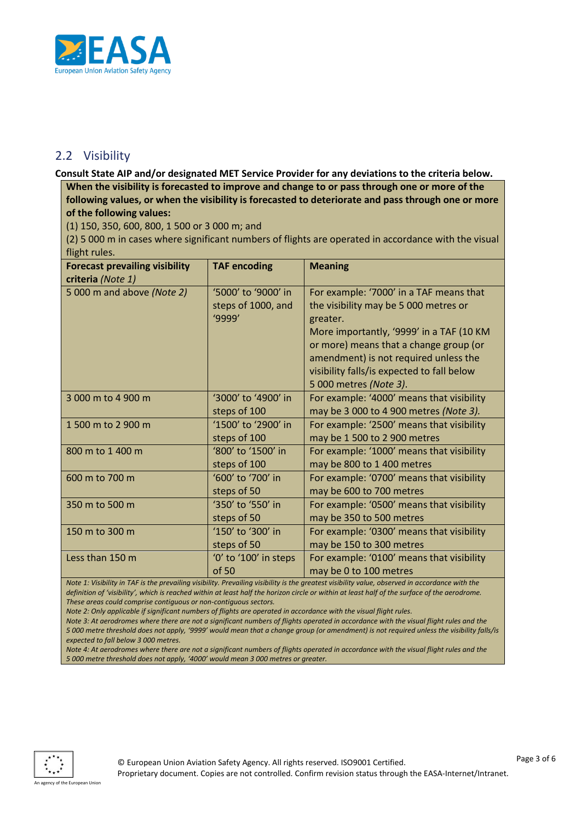

## <span id="page-2-0"></span>2.2 Visibility

**Consult State AIP and/or designated MET Service Provider for any deviations to the criteria below.**

**When the visibility is forecasted to improve and change to or pass through one or more of the following values, or when the visibility is forecasted to deteriorate and pass through one or more of the following values:**

(1) 150, 350, 600, 800, 1 500 or 3 000 m; and

(2) 5 000 m in cases where significant numbers of flights are operated in accordance with the visual flight rules.

| <b>Forecast prevailing visibility</b> | <b>TAF encoding</b>   | <b>Meaning</b>                             |
|---------------------------------------|-----------------------|--------------------------------------------|
| criteria (Note 1)                     |                       |                                            |
| 5 000 m and above (Note 2)            | '5000' to '9000' in   | For example: '7000' in a TAF means that    |
|                                       | steps of 1000, and    | the visibility may be 5 000 metres or      |
|                                       | '9999'                | greater.                                   |
|                                       |                       | More importantly, '9999' in a TAF (10 KM   |
|                                       |                       | or more) means that a change group (or     |
|                                       |                       | amendment) is not required unless the      |
|                                       |                       | visibility falls/is expected to fall below |
|                                       |                       | 5 000 metres (Note 3).                     |
| 3 000 m to 4 900 m                    | '3000' to '4900' in   | For example: '4000' means that visibility  |
|                                       | steps of 100          | may be 3 000 to 4 900 metres (Note 3).     |
| 1 500 m to 2 900 m                    | '1500' to '2900' in   | For example: '2500' means that visibility  |
|                                       | steps of 100          | may be 1 500 to 2 900 metres               |
| 800 m to 1 400 m                      | '800' to '1500' in    | For example: '1000' means that visibility  |
|                                       | steps of 100          | may be 800 to 1 400 metres                 |
| 600 m to 700 m                        | '600' to '700' in     | For example: '0700' means that visibility  |
|                                       | steps of 50           | may be 600 to 700 metres                   |
| 350 m to 500 m                        | '350' to '550' in     | For example: '0500' means that visibility  |
|                                       | steps of 50           | may be 350 to 500 metres                   |
| 150 m to 300 m                        | '150' to '300' in     | For example: '0300' means that visibility  |
|                                       | steps of 50           | may be 150 to 300 metres                   |
| Less than 150 m                       | '0' to '100' in steps | For example: '0100' means that visibility  |
|                                       | of 50                 | may be 0 to 100 metres                     |

*Note 1: Visibility in TAF is the prevailing visibility. Prevailing visibility is the greatest visibility value, observed in accordance with the*  definition of 'visibility', which is reached within at least half the horizon circle or within at least half of the surface of the aerodrome. *These areas could comprise contiguous or non-contiguous sectors.*

*Note 2: Only applicable if significant numbers of flights are operated in accordance with the visual flight rules.*

*Note 3: At aerodromes where there are not a significant numbers of flights operated in accordance with the visual flight rules and the 5 000 metre threshold does not apply, '9999' would mean that a change group (or amendment) is not required unless the visibility falls/is expected to fall below 3 000 metres.*

*Note 4: At aerodromes where there are not a significant numbers of flights operated in accordance with the visual flight rules and the 5 000 metre threshold does not apply, '4000' would mean 3 000 metres or greater.*

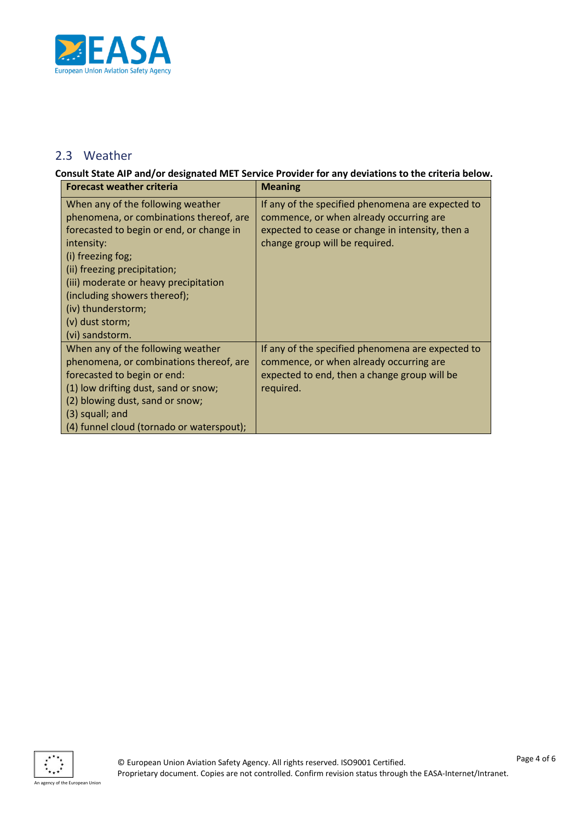

## <span id="page-3-0"></span>2.3 Weather

**Consult State AIP and/or designated MET Service Provider for any deviations to the criteria below.**

| <b>Forecast weather criteria</b>                                                                                                                                                                                                                                                                                                 | <b>Meaning</b>                                                                                                                                                                     |
|----------------------------------------------------------------------------------------------------------------------------------------------------------------------------------------------------------------------------------------------------------------------------------------------------------------------------------|------------------------------------------------------------------------------------------------------------------------------------------------------------------------------------|
| When any of the following weather<br>phenomena, or combinations thereof, are<br>forecasted to begin or end, or change in<br>intensity:<br>(i) freezing fog;<br>(ii) freezing precipitation;<br>(iii) moderate or heavy precipitation<br>(including showers thereof);<br>(iv) thunderstorm;<br>(v) dust storm;<br>(vi) sandstorm. | If any of the specified phenomena are expected to<br>commence, or when already occurring are<br>expected to cease or change in intensity, then a<br>change group will be required. |
| When any of the following weather<br>phenomena, or combinations thereof, are<br>forecasted to begin or end:<br>(1) low drifting dust, sand or snow;<br>(2) blowing dust, sand or snow;<br>$(3)$ squall; and<br>(4) funnel cloud (tornado or waterspout);                                                                         | If any of the specified phenomena are expected to<br>commence, or when already occurring are<br>expected to end, then a change group will be<br>required.                          |

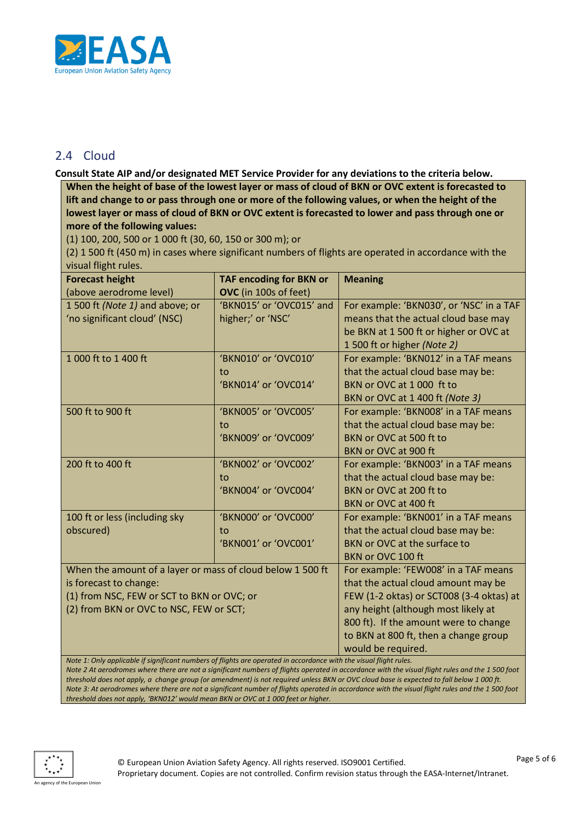

## <span id="page-4-0"></span>2.4 Cloud

**Consult State AIP and/or designated MET Service Provider for any deviations to the criteria below.**

**When the height of base of the lowest layer or mass of cloud of BKN or OVC extent is forecasted to lift and change to or pass through one or more of the following values, or when the height of the lowest layer or mass of cloud of BKN or OVC extent is forecasted to lower and pass through one or more of the following values:**

(1) 100, 200, 500 or 1 000 ft (30, 60, 150 or 300 m); or

(2) 1 500 ft (450 m) in cases where significant numbers of flights are operated in accordance with the visual flight rules.

| <b>Forecast height</b>                                                                                             | <b>TAF encoding for BKN or</b>           | <b>Meaning</b>                           |  |  |
|--------------------------------------------------------------------------------------------------------------------|------------------------------------------|------------------------------------------|--|--|
| (above aerodrome level)                                                                                            | OVC (in 100s of feet)                    |                                          |  |  |
| 1 500 ft (Note 1) and above; or                                                                                    | 'BKN015' or 'OVC015' and                 | For example: 'BKN030', or 'NSC' in a TAF |  |  |
| 'no significant cloud' (NSC)                                                                                       | higher;' or 'NSC'                        | means that the actual cloud base may     |  |  |
|                                                                                                                    |                                          | be BKN at 1500 ft or higher or OVC at    |  |  |
|                                                                                                                    |                                          | 1500 ft or higher (Note 2)               |  |  |
| 1 000 ft to 1 400 ft                                                                                               | 'BKN010' or 'OVC010'                     | For example: 'BKN012' in a TAF means     |  |  |
|                                                                                                                    | to                                       | that the actual cloud base may be:       |  |  |
|                                                                                                                    | 'BKN014' or 'OVC014'                     | BKN or OVC at 1000 ft to                 |  |  |
|                                                                                                                    |                                          | BKN or OVC at 1 400 ft (Note 3)          |  |  |
| 500 ft to 900 ft                                                                                                   | 'BKN005' or 'OVC005'                     | For example: 'BKN008' in a TAF means     |  |  |
|                                                                                                                    | to                                       | that the actual cloud base may be:       |  |  |
|                                                                                                                    | 'BKN009' or 'OVC009'                     | BKN or OVC at 500 ft to                  |  |  |
|                                                                                                                    |                                          | BKN or OVC at 900 ft                     |  |  |
| 200 ft to 400 ft                                                                                                   | 'BKN002' or 'OVC002'                     | For example: 'BKN003' in a TAF means     |  |  |
|                                                                                                                    | to                                       | that the actual cloud base may be:       |  |  |
|                                                                                                                    | 'BKN004' or 'OVC004'                     | BKN or OVC at 200 ft to                  |  |  |
|                                                                                                                    |                                          | BKN or OVC at 400 ft                     |  |  |
| 100 ft or less (including sky                                                                                      | 'BKN000' or 'OVC000'                     | For example: 'BKN001' in a TAF means     |  |  |
| obscured)                                                                                                          | to                                       | that the actual cloud base may be:       |  |  |
|                                                                                                                    | 'BKN001' or 'OVC001'                     | BKN or OVC at the surface to             |  |  |
|                                                                                                                    |                                          | BKN or OVC 100 ft                        |  |  |
| When the amount of a layer or mass of cloud below 1 500 ft                                                         |                                          | For example: 'FEW008' in a TAF means     |  |  |
| is forecast to change:                                                                                             | that the actual cloud amount may be      |                                          |  |  |
| (1) from NSC, FEW or SCT to BKN or OVC; or                                                                         | FEW (1-2 oktas) or SCT008 (3-4 oktas) at |                                          |  |  |
| (2) from BKN or OVC to NSC, FEW or SCT;                                                                            | any height (although most likely at      |                                          |  |  |
|                                                                                                                    | 800 ft). If the amount were to change    |                                          |  |  |
|                                                                                                                    | to BKN at 800 ft, then a change group    |                                          |  |  |
|                                                                                                                    | would be required.                       |                                          |  |  |
| Note 1: Only applicable if significant numbers of flights are operated in accordance with the visual flight rules. |                                          |                                          |  |  |

*Note 2 At aerodromes where there are not a significant numbers of flights operated in accordance with the visual flight rules and the 1 500 foot threshold does not apply, a change group (or amendment) is not required unless BKN or OVC cloud base is expected to fall below 1 000 ft. Note 3: At aerodromes where there are not a significant number of flights operated in accordance with the visual flight rules and the 1 500 foot threshold does not apply, 'BKN012' would mean BKN or OVC at 1 000 feet or higher.*